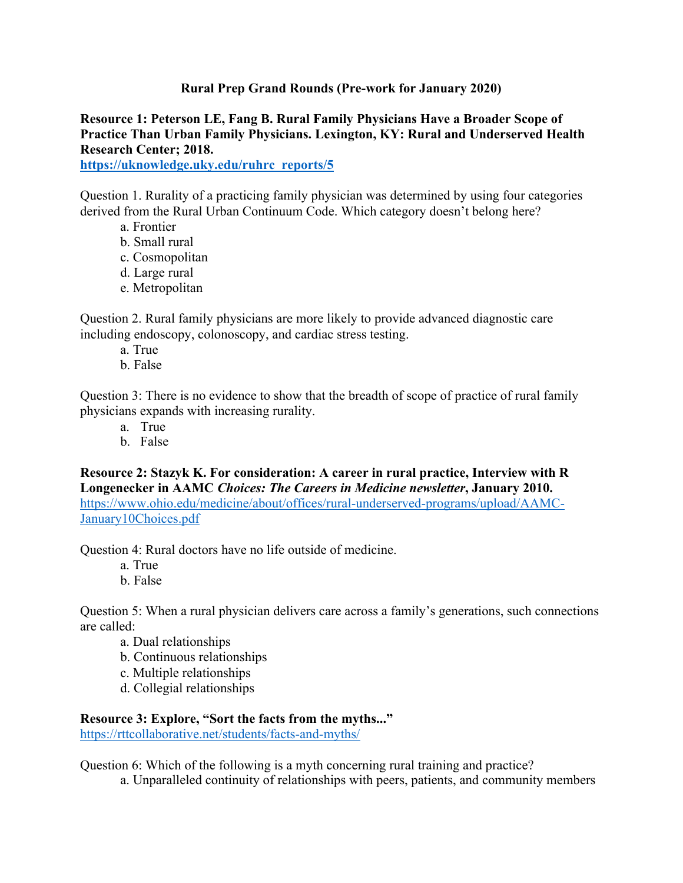## **Rural Prep Grand Rounds (Pre-work for January 2020)**

**Resource 1: Peterson LE, Fang B. Rural Family Physicians Have a Broader Scope of Practice Than Urban Family Physicians. Lexington, KY: Rural and Underserved Health Research Center; 2018. https://uknowledge.uky.edu/ruhrc\_reports/5**

Question 1. Rurality of a practicing family physician was determined by using four categories derived from the Rural Urban Continuum Code. Which category doesn't belong here?

- a. Frontier
- b. Small rural
- c. Cosmopolitan
- d. Large rural
- e. Metropolitan

Question 2. Rural family physicians are more likely to provide advanced diagnostic care including endoscopy, colonoscopy, and cardiac stress testing.

- a. True
- b. False

Question 3: There is no evidence to show that the breadth of scope of practice of rural family physicians expands with increasing rurality.

- a. True
- b. False

**Resource 2: Stazyk K. For consideration: A career in rural practice, Interview with R Longenecker in AAMC** *Choices: The Careers in Medicine newsletter***, January 2010.** https://www.ohio.edu/medicine/about/offices/rural-underserved-programs/upload/AAMC-January10Choices.pdf

Question 4: Rural doctors have no life outside of medicine.

- a. True
- b. False

Question 5: When a rural physician delivers care across a family's generations, such connections are called:

- a. Dual relationships
- b. Continuous relationships
- c. Multiple relationships
- d. Collegial relationships

## **Resource 3: Explore, "Sort the facts from the myths..."**

https://rttcollaborative.net/students/facts-and-myths/

Question 6: Which of the following is a myth concerning rural training and practice?

a. Unparalleled continuity of relationships with peers, patients, and community members